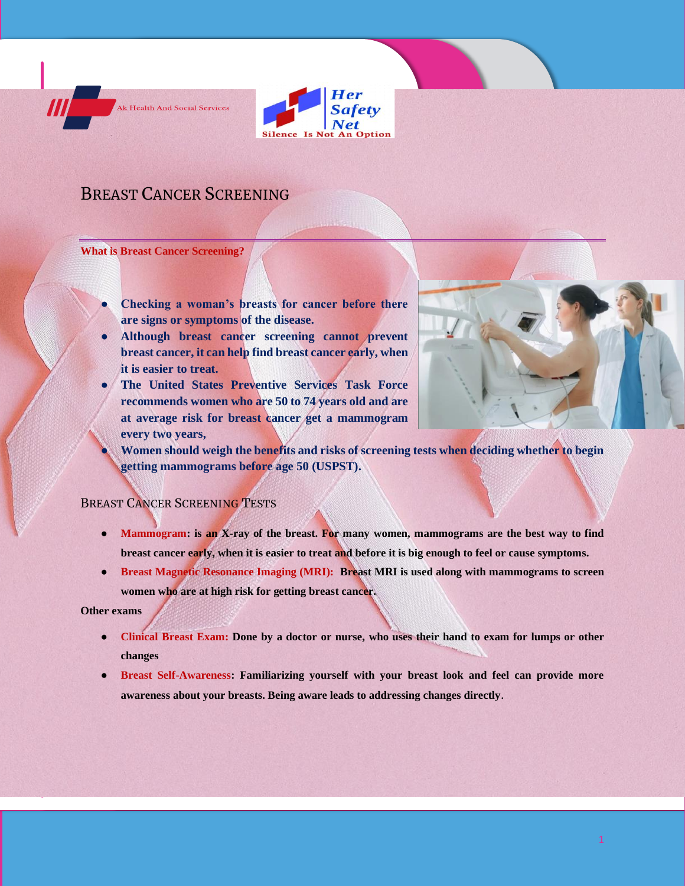Ak Health And Social Services



## BREAST CANCER SCREENING

**What is Breast Cancer Screening?** 

- **Checking a woman's breasts for cancer before there are signs or symptoms of the disease.**
- Although breast cancer screening cannot prevent **breast cancer, it can help find breast cancer early, when it is easier to treat.**
- **The United States Preventive Services Task Force recommends women who are 50 to 74 years old and are at average risk for breast cancer get a mammogram every two years,** 
	- Women should weigh the benefits and risks of screening tests when deciding whether to begin **getting mammograms before age 50 (USPST).**

## BREAST CANCER SCREENING TESTS

- **Mammogram:** is an X-ray of the breast. For many women, mammograms are the best way to find **breast cancer early, when it is easier to treat and before it is big enough to feel or cause symptoms.**
- **Breast Magnetic Resonance Imaging (MRI): Breast MRI is used along with mammograms to screen women who are at high risk for getting breast cancer.**

**Other exams**

- **Clinical Breast Exam: Done by a doctor or nurse, who uses their hand to exam for lumps or other changes**
- **Breast Self-Awareness: Familiarizing yourself with your breast look and feel can provide more awareness about your breasts. Being aware leads to addressing changes directly**.